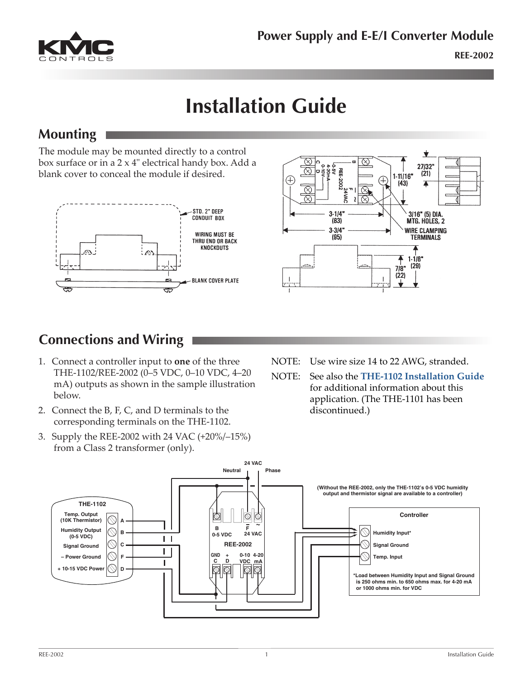

# **Installation Guide**

#### **Mounting**

The module may be mounted directly to a control box surface or in a 2 x 4" electrical handy box. Add a blank cover to conceal the module if desired.





### **Connections and Wiring**

- 1. Connect a controller input to **one** of the three THE-1102/REE-2002 (0–5 VDC, 0–10 VDC, 4–20 mA) outputs as shown in the sample illustration below.
- 2. Connect the B, F, C, and D terminals to the corresponding terminals on the THE-1102.
- 3. Supply the REE-2002 with 24 VAC (+20%/–15%) from a Class 2 transformer (only).
- NOTE: Use wire size 14 to 22 AWG, stranded.
- NOTE: See also the **[THE-1102 Installation Guide](http://www.kmccontrols.com/io/THE-1102)** for additional information about this application. (The THE-1101 has been discontinued.)